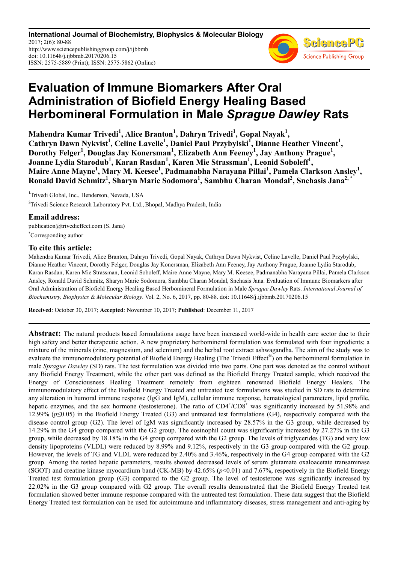**International Journal of Biochemistry, Biophysics & Molecular Biology** 2017; 2(6): 80-88 http://www.sciencepublishinggroup.com/j/ijbbmb doi: 10.11648/j.ijbbmb.20170206.15 ISSN: 2575-5889 (Print); ISSN: 2575-5862 (Online)



# **Evaluation of Immune Biomarkers After Oral Administration of Biofield Energy Healing Based Herbomineral Formulation in Male** *Sprague Dawley* **Rats**

**Mahendra Kumar Trivedi<sup>1</sup> , Alice Branton<sup>1</sup> , Dahryn Trivedi<sup>1</sup> , Gopal Nayak<sup>1</sup> ,**  Cathryn Dawn Nykvist<sup>1</sup>, Celine Lavelle<sup>1</sup>, Daniel Paul Przybylski<sup>I</sup>, Dianne Heather Vincent<sup>1</sup>, **Dorothy Felger<sup>1</sup> , Douglas Jay Konersman<sup>1</sup> , Elizabeth Ann Feeney<sup>1</sup> , Jay Anthony Prague<sup>1</sup> , Joanne Lydia Starodub<sup>1</sup> , Karan Rasdan<sup>1</sup> , Karen Mie Strassman<sup>1</sup> , Leonid Soboleff<sup>1</sup> , Maire Anne Mayne<sup>1</sup> , Mary M. Keesee<sup>1</sup> , Padmanabha Narayana Pillai<sup>1</sup> , Pamela Clarkson Ansley<sup>1</sup> , Ronald David Schmitz<sup>1</sup> , Sharyn Marie Sodomora<sup>1</sup> , Sambhu Charan Mondal<sup>2</sup> , Snehasis Jana2, \***

<sup>1</sup>Trivedi Global, Inc., Henderson, Nevada, USA <sup>2</sup>Trivedi Science Research Laboratory Pvt. Ltd., Bhopal, Madhya Pradesh, India

# **Email address:**

publication@trivedieffect.com (S. Jana) \*Corresponding author

# **To cite this article:**

Mahendra Kumar Trivedi, Alice Branton, Dahryn Trivedi, Gopal Nayak, Cathryn Dawn Nykvist, Celine Lavelle, Daniel Paul Przybylski, Dianne Heather Vincent, Dorothy Felger, Douglas Jay Konersman, Elizabeth Ann Feeney, Jay Anthony Prague, Joanne Lydia Starodub, Karan Rasdan, Karen Mie Strassman, Leonid Soboleff, Maire Anne Mayne, Mary M. Keesee, Padmanabha Narayana Pillai, Pamela Clarkson Ansley, Ronald David Schmitz, Sharyn Marie Sodomora, Sambhu Charan Mondal, Snehasis Jana. Evaluation of Immune Biomarkers after Oral Administration of Biofield Energy Healing Based Herbomineral Formulation in Male *Sprague Dawley* Rats. *International Journal of Biochemistry, Biophysics & Molecular Biology*. Vol. 2, No. 6, 2017, pp. 80-88. doi: 10.11648/j.ijbbmb.20170206.15

**Received**: October 30, 2017; **Accepted**: November 10, 2017; **Published**: December 11, 2017

**Abstract:** The natural products based formulations usage have been increased world-wide in health care sector due to their high safety and better therapeutic action. A new proprietary herbomineral formulation was formulated with four ingredients; a mixture of the minerals (zinc, magnesium, and selenium) and the herbal root extract ashwagandha. The aim of the study was to evaluate the immunomodulatory potential of Biofield Energy Healing (The Trivedi Effect®) on the herbomineral formulation in male *Sprague Dawley* (SD) rats. The test formulation was divided into two parts. One part was denoted as the control without any Biofield Energy Treatment, while the other part was defined as the Biofield Energy Treated sample, which received the Energy of Consciousness Healing Treatment remotely from eighteen renowned Biofield Energy Healers. The immunomodulatory effect of the Biofield Energy Treated and untreated test formulations was studied in SD rats to determine any alteration in humoral immune response (IgG and IgM), cellular immune response, hematological parameters, lipid profile, hepatic enzymes, and the sex hormone (testosterone). The ratio of CD4<sup>+</sup>/CD8<sup>+</sup> was significantly increased by 51.98% and 12.99% (*p*≤0.05) in the Biofield Energy Treated (G3) and untreated test formulations (G4), respectively compared with the disease control group (G2). The level of IgM was significantly increased by 28.57% in the G3 group, while decreased by 14.29% in the G4 group compared with the G2 group. The eosinophil count was significantly increased by 27.27% in the G3 group, while decreased by 18.18% in the G4 group compared with the G2 group. The levels of triglycerides (TG) and very low density lipoproteins (VLDL) were reduced by 8.99% and 9.12%, respectively in the G3 group compared with the G2 group. However, the levels of TG and VLDL were reduced by 2.40% and 3.46%, respectively in the G4 group compared with the G2 group. Among the tested hepatic parameters, results showed decreased levels of serum glutamate oxaloacetate transaminase (SGOT) and creatine kinase myocardium band (CK-MB) by 42.65% (*p*<0.01) and 7.67%, respectively in the Biofield Energy Treated test formulation group (G3) compared to the G2 group. The level of testosterone was significantly increased by 22.02% in the G3 group compared with G2 group. The overall results demonstrated that the Biofield Energy Treated test formulation showed better immune response compared with the untreated test formulation. These data suggest that the Biofield Energy Treated test formulation can be used for autoimmune and inflammatory diseases, stress management and anti-aging by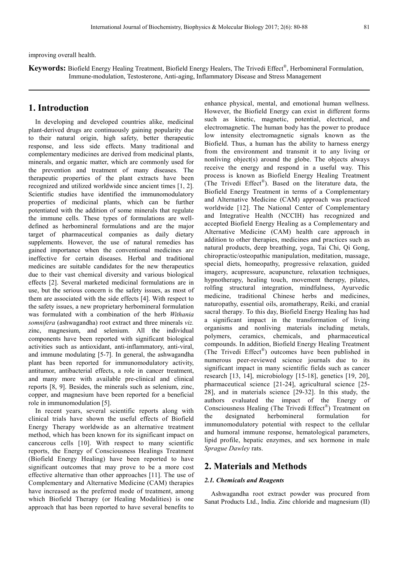improving overall health.

**Keywords:** Biofield Energy Healing Treatment, Biofield Energy Healers, The Trivedi Effect® , Herbomineral Formulation, Immune-modulation, Testosterone, Anti-aging, Inflammatory Disease and Stress Management

# **1. Introduction**

In developing and developed countries alike, medicinal plant-derived drugs are continuously gaining popularity due to their natural origin, high safety, better therapeutic response, and less side effects. Many traditional and complementary medicines are derived from medicinal plants, minerals, and organic matter, which are commonly used for the prevention and treatment of many diseases. The therapeutic properties of the plant extracts have been recognized and utilized worldwide since ancient times [1, 2]. Scientific studies have identified the immunomodulatory properties of medicinal plants, which can be further potentiated with the addition of some minerals that regulate the immune cells. These types of formulations are welldefined as herbomineral formulations and are the major target of pharmaceutical companies as daily dietary supplements. However, the use of natural remedies has gained importance when the conventional medicines are ineffective for certain diseases. Herbal and traditional medicines are suitable candidates for the new therapeutics due to their vast chemical diversity and various biological effects [2]. Several marketed medicinal formulations are in use, but the serious concern is the safety issues, as most of them are associated with the side effects [4]. With respect to the safety issues, a new proprietary herbomineral formulation was formulated with a combination of the herb *Withania somnifera* (ashwagandha) root extract and three minerals *viz.* zinc, magnesium, and selenium. All the individual components have been reported with significant biological activities such as antioxidant, anti-inflammatory, anti-viral, and immune modulating [5-7]. In general, the ashwagandha plant has been reported for immunomodulatory activity, antitumor, antibacterial effects, a role in cancer treatment, and many more with available pre-clinical and clinical reports [8, 9]. Besides, the minerals such as selenium, zinc, copper, and magnesium have been reported for a beneficial role in immunomodulation [5].

In recent years, several scientific reports along with clinical trials have shown the useful effects of Biofield Energy Therapy worldwide as an alternative treatment method, which has been known for its significant impact on cancerous cells [10]. With respect to many scientific reports, the Energy of Consciousness Healings Treatment (Biofield Energy Healing) have been reported to have significant outcomes that may prove to be a more cost effective alternative than other approaches [11]. The use of Complementary and Alternative Medicine (CAM) therapies have increased as the preferred mode of treatment, among which Biofield Therapy (or Healing Modalities) is one approach that has been reported to have several benefits to

enhance physical, mental, and emotional human wellness. However, the Biofield Energy can exist in different forms such as kinetic, magnetic, potential, electrical, and electromagnetic. The human body has the power to produce low intensity electromagnetic signals known as the Biofield. Thus, a human has the ability to harness energy from the environment and transmit it to any living or nonliving object(s) around the globe. The objects always receive the energy and respond in a useful way. This process is known as Biofield Energy Healing Treatment (The Trivedi Effect® ). Based on the literature data, the Biofield Energy Treatment in terms of a Complementary and Alternative Medicine (CAM) approach was practiced worldwide [12]. The National Center of Complementary and Integrative Health (NCCIH) has recognized and accepted Biofield Energy Healing as a Complementary and Alternative Medicine (CAM) health care approach in addition to other therapies, medicines and practices such as natural products, deep breathing, yoga, Tai Chi, Qi Gong, chiropractic/osteopathic manipulation, meditation, massage, special diets, homeopathy, progressive relaxation, guided imagery, acupressure, acupuncture, relaxation techniques, hypnotherapy, healing touch, movement therapy, pilates, rolfing structural integration, mindfulness, Ayurvedic medicine, traditional Chinese herbs and medicines, naturopathy, essential oils, aromatherapy, Reiki, and cranial sacral therapy. To this day, Biofield Energy Healing has had a significant impact in the transformation of living organisms and nonliving materials including metals, polymers, ceramics, chemicals, and pharmaceutical compounds. In addition, Biofield Energy Healing Treatment (The Trivedi Effect® ) outcomes have been published in numerous peer-reviewed science journals due to its significant impact in many scientific fields such as cancer research [13, 14], microbiology [15-18], genetics [19, 20], pharmaceutical science [21-24], agricultural science [25- 28], and in materials science [29-32]. In this study, the authors evaluated the impact of the Energy of Consciousness Healing (The Trivedi Effect® ) Treatment on the designated herbomineral formulation for immunomodulatory potential with respect to the cellular and humoral immune response, hematological parameters, lipid profile, hepatic enzymes, and sex hormone in male *Sprague Dawley* rats.

# **2. Materials and Methods**

#### *2.1. Chemicals and Reagents*

Ashwagandha root extract powder was procured from Sanat Products Ltd., India. Zinc chloride and magnesium (II)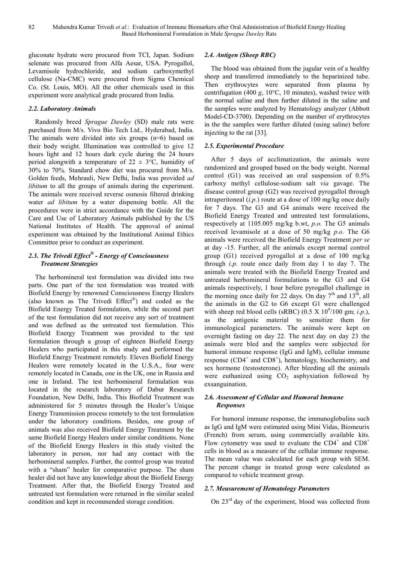gluconate hydrate were procured from TCI, Japan. Sodium selenate was procured from Alfa Aesar, USA. Pyrogallol, Levamisole hydrochloride, and sodium carboxymethyl cellulose (Na-CMC) were procured from Sigma Chemical Co. (St. Louis, MO). All the other chemicals used in this experiment were analytical grade procured from India.

## *2.2. Laboratory Animals*

Randomly breed *Sprague Dawley* (SD) male rats were purchased from M/s. Vivo Bio Tech Ltd., Hyderabad, India. The animals were divided into six groups (n=6) based on their body weight. Illumination was controlled to give 12 hours light and 12 hours dark cycle during the 24 hours period alongwith a temperature of  $22 \pm 3$ °C, humidity of 30% to 70%. Standard chow diet was procured from M/s. Golden feeds, Mehrauli, New Delhi, India was provided *ad libitum* to all the groups of animals during the experiment. The animals were received reverse osmosis filtered drinking water *ad libitum* by a water dispensing bottle. All the procedures were in strict accordance with the Guide for the Care and Use of Laboratory Animals published by the US National Institutes of Health. The approval of animal experiment was obtained by the Institutional Animal Ethics Committee prior to conduct an experiment.

# *2.3. The Trivedi Effect® - Energy of Consciousness Treatment Strategies*

The herbomineral test formulation was divided into two parts. One part of the test formulation was treated with Biofield Energy by renowned Consciousness Energy Healers (also known as The Trivedi Effect® ) and coded as the Biofield Energy Treated formulation, while the second part of the test formulation did not receive any sort of treatment and was defined as the untreated test formulation. This Biofield Energy Treatment was provided to the test formulation through a group of eighteen Biofield Energy Healers who participated in this study and performed the Biofield Energy Treatment remotely. Eleven Biofield Energy Healers were remotely located in the U.S.A., four were remotely located in Canada, one in the UK, one in Russia and one in Ireland. The test herbomineral formulation was located in the research laboratory of Dabur Research Foundation, New Delhi, India. This Biofield Treatment was administered for 5 minutes through the Healer's Unique Energy Transmission process remotely to the test formulation under the laboratory conditions. Besides, one group of animals was also received Biofield Energy Treatment by the same Biofield Energy Healers under similar conditions. None of the Biofield Energy Healers in this study visited the laboratory in person, nor had any contact with the herbomineral samples. Further, the control group was treated with a "sham" healer for comparative purpose. The sham healer did not have any knowledge about the Biofield Energy Treatment. After that, the Biofield Energy Treated and untreated test formulation were returned in the similar sealed condition and kept in recommended storage condition.

## *2.4. Antigen (Sheep RBC)*

The blood was obtained from the jugular vein of a healthy sheep and transferred immediately to the heparinized tube. Then erythrocytes were separated from plasma by centrifugation (400 *g*, 10°C, 10 minutes), washed twice with the normal saline and then further diluted in the saline and the samples were analyzed by Hematology analyzer (Abbott Model-CD-3700). Depending on the number of erythrocytes in the the samples were further diluted (using saline) before injecting to the rat [33].

## *2.5. Experimental Procedure*

After 5 days of acclimatization, the animals were randomized and grouped based on the body weight. Normal control (G1) was received an oral suspension of 0.5% carboxy methyl cellulose-sodium salt *via* gavage. The disease control group (G2) was received pyrogallol through intraperitoneal (*i.p.*) route at a dose of 100 mg/kg once daily for 7 days. The G3 and G4 animals were received the Biofield Energy Treated and untreated test formulations, respectively at 1105.005 mg/kg b.wt, *p.o.* The G5 animals received levamisole at a dose of 50 mg/kg *p.o.* The G6 animals were received the Biofield Energy Treatment *per se* at day -15. Further, all the animals except normal control group (G1) received pyrogallol at a dose of 100 mg/kg through *i.p.* route once daily from day 1 to day 7. The animals were treated with the Biofield Energy Treated and untreated herbomineral formulations to the G3 and G4 animals respectively, 1 hour before pyrogallol challenge in the morning once daily for 22 days. On day  $7<sup>th</sup>$  and  $13<sup>th</sup>$ , all the animals in the G2 to G6 except G1 were challenged with sheep red blood cells (sRBC)  $(0.5 \text{ X } 10^9/100 \text{ gm}; i.p.).$ as the antigenic material to sensitize them for immunological parameters. The animals were kept on overnight fasting on day 22. The next day on day 23 the animals were bled and the samples were subjected for humoral immune response (IgG and IgM), cellular immune response (CD4<sup>+</sup> and CD8<sup>+</sup>), hematology, biochemistry, and sex hormone (testosterone). After bleeding all the animals were euthanized using  $CO<sub>2</sub>$  asphyxiation followed by exsanguination.

## *2.6. Assessment of Cellular and Humoral Immune Responses*

For humoral immune response, the immunoglobulins such as IgG and IgM were estimated using Mini Vidas, Biomeurix (French) from serum, using commercially available kits. Flow cytometry was used to evaluate the CD4<sup>+</sup> and CD8<sup>+</sup> cells in blood as a measure of the cellular immune response. The mean value was calculated for each group with SEM. The percent change in treated group were calculated as compared to vehicle treatment group.

# *2.7. Measurement of Hematology Parameters*

On  $23<sup>rd</sup>$  day of the experiment, blood was collected from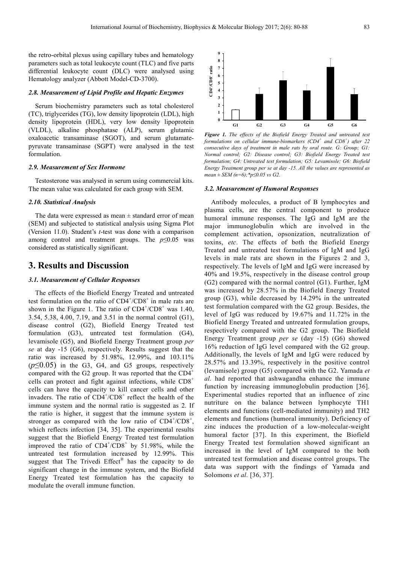the retro-orbital plexus using capillary tubes and hematology parameters such as total leukocyte count (TLC) and five parts differential leukocyte count (DLC) were analysed using Hematology analyzer (Abbott Model-CD-3700).

### *2.8. Measurement of Lipid Profile and Hepatic Enzymes*

Serum biochemistry parameters such as total cholesterol (TC), triglycerides (TG), low density lipoprotein (LDL), high density lipoprotein (HDL), very low density lipoprotein (VLDL), alkaline phosphatase (ALP), serum glutamic oxaloacetic transaminase (SGOT), and serum glutamatepyruvate transaminase (SGPT) were analysed in the test formulation.

#### *2.9. Measurement of Sex Hormone*

Testosterone was analysed in serum using commercial kits. The mean value was calculated for each group with SEM.

#### *2.10. Statistical Analysis*

The data were expressed as mean  $\pm$  standard error of mean (SEM) and subjected to statistical analysis using Sigma Plot (Version 11.0). Student's *t*-test was done with a comparison among control and treatment groups. The *p*≤0.05 was considered as statistically significant.

# **3. Results and Discussion**

#### *3.1. Measurement of Cellular Responses*

The effects of the Biofield Energy Treated and untreated test formulation on the ratio of  $CD4^+/CD8^+$  in male rats are shown in the Figure 1. The ratio of  $CD4^+/CD8^+$  was 1.40, 3.54, 5.38, 4.00, 7.19, and 3.51 in the normal control (G1), disease control (G2), Biofield Energy Treated test formulation (G3), untreated test formulation (G4), levamisole (G5), and Biofield Energy Treatment group *per se* at day -15 (G6), respectively. Results suggest that the ratio was increased by 51.98%, 12.99%, and 103.11%  $(p \leq 0.05)$  in the G3, G4, and G5 groups, respectively compared with the G2 group. It was reported that the  $CD4^+$ cells can protect and fight against infections, while CD8<sup>+</sup> cells can have the capacity to kill cancer cells and other invaders. The ratio of  $CD4^+/CD8^+$  reflect the health of the immune system and the normal ratio is suggested as 2. If the ratio is higher, it suggest that the immune system is stronger as compared with the low ratio of  $CD4^{\dagger}/CD8^{\dagger}$ , which reflects infection [34, 35]. The experimental results suggest that the Biofield Energy Treated test formulation improved the ratio of  $CD4^+/CD8^+$  by 51.98%, while the untreated test formulation increased by 12.99%. This suggest that The Trivedi Effect® has the capacity to do significant change in the immune system, and the Biofield Energy Treated test formulation has the capacity to modulate the overall immune function.



*Figure 1. The effects of the Biofield Energy Treated and untreated test formulations on cellular immune-biomarkers (CD4<sup>+</sup> and CD8<sup>+</sup> ) after 22 consecutive days of treatment in male rats by oral route. G: Group; G1: Normal control; G2: Disease control; G3: Biofield Energy Treated test formulation; G4: Untreated test formulation; G5: Levamisole; G6: Biofield Energy Treatment group per se at day -15. All the values are represented as mean ± SEM (n=6);\*p≤0.05 vs G2.* 

#### *3.2. Measurement of Humoral Responses*

Antibody molecules, a product of B lymphocytes and plasma cells, are the central component to produce humoral immune responses. The IgG and IgM are the major immunoglobulin which are involved in the complement activation, opsonization, neutralization of toxins, *etc*. The effects of both the Biofield Energy Treated and untreated test formulations of IgM and IgG levels in male rats are shown in the Figures 2 and 3, respectively. The levels of IgM and IgG were increased by 40% and 19.5%, respectively in the disease control group (G2) compared with the normal control (G1). Further, IgM was increased by 28.57% in the Biofield Energy Treated group (G3), while decreased by 14.29% in the untreated test formulation compared with the G2 group. Besides, the level of IgG was reduced by 19.67% and 11.72% in the Biofield Energy Treated and untreated formulation groups, respectively compared with the G2 group. The Biofield Energy Treatment group *per se* (day -15) (G6) showed 16% reduction of IgG level compared with the G2 group. Additionally, the levels of IgM and IgG were reduced by 28.57% and 13.39%, respectively in the positive control (levamisole) group (G5) compared with the G2. Yamada *et al.* had reported that ashwagandha enhance the immune function by increasing immunoglobulin production [36]. Experimental studies reported that an influence of zinc nutriture on the balance between lymphocyte TH1 elements and functions (cell-mediated immunity) and TH2 elements and functions (humoral immunity). Deficiency of zinc induces the production of a low-molecular-weight humoral factor [37]. In this experiment, the Biofield Energy Treated test formulation showed significant an increased in the level of IgM compared to the both untreated test formulation and disease control groups. The data was support with the findings of Yamada and Solomons *et al.* [36, 37].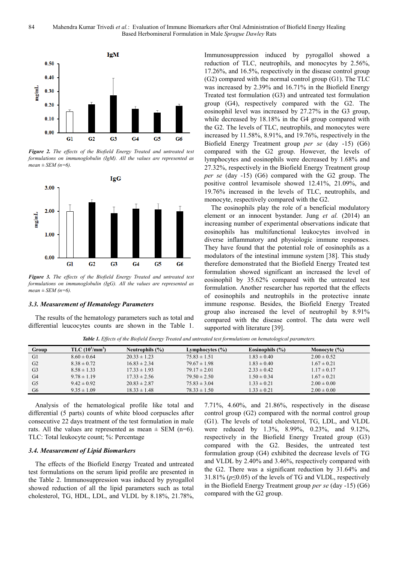

*Figure 2. The effects of the Biofield Energy Treated and untreated test formulations on immunoglobulin (IgM). All the values are represented as mean ± SEM (n=6).* 



*Figure 3. The effects of the Biofield Energy Treated and untreated test formulations on immunoglobulin (IgG). All the values are represented as mean ± SEM (n=6).* 

#### *3.3. Measurement of Hematology Parameters*

The results of the hematology parameters such as total and differential leucocytes counts are shown in the Table 1. Immunosuppression induced by pyrogallol showed a reduction of TLC, neutrophils, and monocytes by 2.56%, 17.26%, and 16.5%, respectively in the disease control group (G2) compared with the normal control group (G1). The TLC was increased by 2.39% and 16.71% in the Biofield Energy Treated test formulation (G3) and untreated test formulation group (G4), respectively compared with the G2. The eosinophil level was increased by 27.27% in the G3 group, while decreased by 18.18% in the G4 group compared with the G2. The levels of TLC, neutrophils, and monocytes were increased by 11.58%, 8.91%, and 19.76%, respectively in the Biofield Energy Treatment group *per se* (day -15) (G6) compared with the G2 group. However, the levels of lymphocytes and eosinophils were decreased by 1.68% and 27.32%, respectively in the Biofield Energy Treatment group *per se* (day -15) (G6) compared with the G2 group. The positive control levamisole showed 12.41%, 21.09%, and 19.76% increased in the levels of TLC, neutrophils, and monocyte, respectively compared with the G2.

The eosinophils play the role of a beneficial modulatory element or an innocent bystander. Jung *et al.* (2014) an increasing number of experimental observations indicate that eosinophils has multifunctional leukocytes involved in diverse inflammatory and physiologic immune responses. They have found that the potential role of eosinophils as a modulators of the intestinal immune system [38]. This study therefore demonstrated that the Biofield Energy Treated test formulation showed significant an increased the level of eosinophil by 35.62% compared with the untreated test formulation. Another researcher has reported that the effects of eosinophils and neutrophils in the protective innate immune response. Besides, the Biofield Energy Treated group also increased the level of neutrophil by 8.91% compared with the disease control. The data were well supported with literature [39].

*Table 1. Effects of the Biofield Energy Treated and untreated test formulations on hematological parameters.* 

| Group          | TLC (10 <sup>3</sup> /mm <sup>3</sup> ) | Neutrophils $(\% )$ | Lymphocytes $(\% )$ | Eosinophils $(% )$ | Monocyte $(\% )$ |
|----------------|-----------------------------------------|---------------------|---------------------|--------------------|------------------|
| G1             | $8.60 \pm 0.64$                         | $20.33 \pm 1.23$    | $75.83 \pm 1.51$    | $1.83 \pm 0.40$    | $2.00 \pm 0.52$  |
| G <sub>2</sub> | $8.38 \pm 0.72$                         | $16.83 \pm 2.34$    | $79.67 \pm 1.98$    | $1.83 \pm 0.40$    | $1.67 \pm 0.21$  |
| G <sub>3</sub> | $8.58 \pm 1.33$                         | $17.33 \pm 1.93$    | $79.17 \pm 2.01$    | $2.33 \pm 0.42$    | $1.17 \pm 0.17$  |
| G <sub>4</sub> | $9.78 \pm 1.19$                         | $17.33 \pm 2.56$    | $79.50 \pm 2.50$    | $1.50 \pm 0.34$    | $1.67 \pm 0.21$  |
| G5             | $9.42 \pm 0.92$                         | $20.83 \pm 2.87$    | $75.83 \pm 3.04$    | $1.33 \pm 0.21$    | $2.00 \pm 0.00$  |
| G <sub>6</sub> | $9.35 \pm 1.09$                         | $18.33 \pm 1.48$    | $78.33 \pm 1.50$    | $1.33 \pm 0.21$    | $2.00 \pm 0.00$  |

Analysis of the hematological profile like total and differential (5 parts) counts of white blood corpuscles after consecutive 22 days treatment of the test formulation in male rats. All the values are represented as mean  $\pm$  SEM (n=6). TLC: Total leukocyte count; %: Percentage

#### *3.4. Measurement of Lipid Biomarkers*

The effects of the Biofield Energy Treated and untreated test formulations on the serum lipid profile are presented in the Table 2. Immunosuppression was induced by pyrogallol showed reduction of all the lipid parameters such as total cholesterol, TG, HDL, LDL, and VLDL by 8.18%, 21.78%, 7.71%, 4.60%, and 21.86%, respectively in the disease control group (G2) compared with the normal control group (G1). The levels of total cholesterol, TG, LDL, and VLDL were reduced by 1.3%, 8.99%, 0.23%, and 9.12%, respectively in the Biofield Energy Treated group (G3) compared with the G2. Besides, the untreated test formulation group (G4) exhibited the decrease levels of TG and VLDL by 2.40% and 3.46%, respectively compared with the G2. There was a significant reduction by 31.64% and 31.81% (*p*≤0.05) of the levels of TG and VLDL, respectively in the Biofield Energy Treatment group *per se* (day -15) (G6) compared with the G2 group.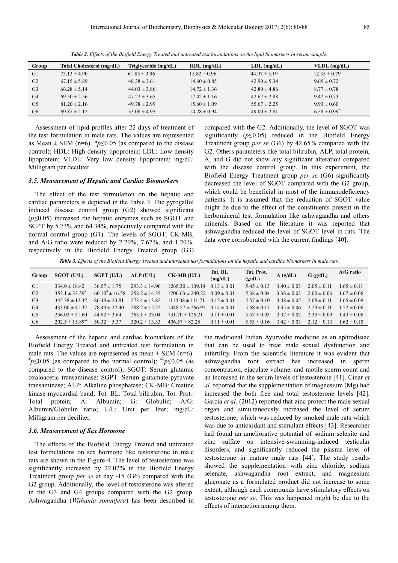| Group          | Total Cholesterol (mg/dL) | Triglyceride (mg/dL) | $HDL$ (mg/dL)    | $LDL$ (mg/dL)    | $VLDL$ (mg/dL)    |
|----------------|---------------------------|----------------------|------------------|------------------|-------------------|
| G1             | $73.13 \pm 4.90$          | $61.85 \pm 3.96$     | $15.82 \pm 0.96$ | $44.97 \pm 5.19$ | $12.35 \pm 0.79$  |
| G2             | $67.15 \pm 5.89$          | $48.38 \pm 3.61$     | $14.60 \pm 0.85$ | $42.90 \pm 5.34$ | $9.65 \pm 0.72$   |
| G <sub>3</sub> | $66.28 \pm 5.14$          | $44.03 \pm 3.86$     | $14.72 \pm 1.36$ | $42.80 \pm 4.86$ | $8.77 \pm 0.78$   |
| G <sub>4</sub> | $69.50 \pm 2.56$          | $47.22 \pm 3.65$     | $17.42 \pm 1.16$ | $42.67 \pm 2.88$ | $9.42 \pm 0.73$   |
| G <sub>5</sub> | $81.20 \pm 2.16$          | $49.78 \pm 2.99$     | $15.60 \pm 1.09$ | $55.67 \pm 2.25$ | $9.93 \pm 0.60$   |
| G <sub>6</sub> | $69.87 \pm 2.12$          | $33.08 \pm 4.95$     | $14.28 \pm 0.94$ | $49.00 \pm 2.81$ | $6.58 \pm 0.99^*$ |

*Table 2. Effects of the Biofield Energy Treated and untreated test formulations on the lipid biomarkers in serum sample.* 

Assessment of lipid profiles after 22 days of treatment of the test formulation in male rats. The values are represented as Mean  $\pm$  SEM (n=6). \* $p \le 0.05$  (as compared to the disease control); HDL: High density lipoprotein; LDL: Low density lipoprotein; VLDL: Very low density lipoprotein; mg/dL: Milligram per deciliter

#### *3.5. Measurement of Hepatic and Cardiac Biomarkers*

The effect of the test formulation on the hepatic and cardiac parameters is depicted in the Table 3. The pyrogallol induced disease control group (G2) showed significant (*p≤*0.05) increased the hepatic enzymes such as SGOT and SGPT by 5.73% and 64.34%, respectively compared with the normal control group (G1). The levels of SGOT, CK-MB, and A/G ratio were reduced by 2.20%, 7.67%, and 1.20%, respectively in the Biofield Energy Treated group (G3)

compared with the G2. Additionally, the level of SGOT was significantly  $(p \le 0.05)$  reduced in the Biofield Energy Treatment group *per se* (G6) by 42.65% compared with the G2. Others parameters like total bilirubin, ALP, total protein, A, and G did not show any significant alteration compared with the disease control group. In this experiment, the Biofield Energy Treatment group *per se* (G6) significantly decreased the level of SGOT compared with the G2 group, which could be beneficial in most of the immunodeficiency patients. It is assumed that the reduction of SGOT value might be due to the effect of the constituents present in the herbomineral test formulation like ashwagandha and others minerals. Based on the literature it was reported that ashwagandha reduced the level of SGOT level in rats. The data were corroborated with the current findings [40].

*Table 3. Effects of the Biofield Energy Treated and untreated test formulations on the hepatic and cardiac biomarkers in male rats.* 

| Group          | <b>SGOT (U/L)</b>         | $SGPT$ (U/L)          | ALP(U/L)          | $CK-MB$ (U/L)        | Tot. BL<br>(mg/dL) | Tot. Prot.<br>(g/dL) | A(g/dL)         | $G$ (g/dL)      | $A/G$ ratio     |
|----------------|---------------------------|-----------------------|-------------------|----------------------|--------------------|----------------------|-----------------|-----------------|-----------------|
| G1             | $334.0 \pm 18.42$         | $36.57 \pm 1.75$      | $293.3 \pm 14.96$ | $1265.30 \pm 109.14$ | $0.13 \pm 0.01$    | $5.45 \pm 0.13$      | $3.40 \pm 0.03$ | $2.05 \pm 0.11$ | $1.65 \pm 0.11$ |
| G2             | $353.1 \pm 33.59^{\#}$    | $60.10^{4} \pm 16.58$ | $258.2 \pm 14.35$ | $1206.63 \pm 240.22$ | $0.09 \pm 0.01$    | $5.38 \pm 0.04$      | $3.38 \pm 0.03$ | $2.00 \pm 0.06$ | $1.67 \pm 0.06$ |
| G <sub>3</sub> | $345.38 \pm 12.32$        | $86.43 \pm 20.81$     | $273.4 \pm 13.82$ | $1114.08 \pm 111.71$ | $0.12 \pm 0.01$    | $5.57 \pm 0.10$      | $3.48 \pm 0.05$ | $2.08 \pm 0.11$ | $1.65 \pm 0.09$ |
| G4             | $433.00 \pm 41.32$        | $78.43 \pm 22.40$     | $288.2 \pm 15.22$ | $1448.57 \pm 266.95$ | $0.14 \pm 0.01$    | $5.68 \pm 0.17$      | $3.45 \pm 0.06$ | $2.23 \pm 0.11$ | $1.52 \pm 0.06$ |
| G <sub>5</sub> | $256.02 \pm 31.60$        | $44.92 \pm 3.64$      | $263.1 \pm 23.04$ | $731.70 \pm 126.21$  | $0.11 \pm 0.01$    | $5.57 \pm 0.03$      | $3.37 \pm 0.02$ | $2.30 \pm 0.09$ | $1.43 \pm 0.06$ |
| G6             | $202.5 \pm 15.89^{\circ}$ | $50.32 \pm 5.37$      | $320.2 \pm 13.33$ | $406.57 \pm 82.25$   | $0.11 \pm 0.01$    | $5.53 \pm 0.16$      | $3.42 \pm 0.03$ | $2.12 \pm 0.13$ | $1.62 \pm 0.10$ |

Assessment of the hepatic and cardiac biomarkers of the Biofield Energy Treated and untreated test formulation in male rats. The values are represented as mean  $\pm$  SEM (n=6). **#** *p*≤0.05 (as compared to the normal control); @ *p*≤0.05 (as compared to the disease control); SGOT: Serum glutamic oxaloacetic transaminase; SGPT: Serum glutamate-pyruvate transaminase; ALP: Alkaline phosphatase; CK-MB: Creatine kinase-myocardial band; Tot. BL: Total bilirubin; Tot. Prot.: Total protein; A: Albumin; G: Globulin; A/G: Albumin/Globulin ratio; U/L: Unit per liter; mg/dL: Milligram per deciliter.

#### *3.6. Measurement of Sex Hormone*

The effects of the Biofield Energy Treated and untreated test formulations on sex hormone like testosterone in male rats are shown in the Figure 4. The level of testosterone was significantly increased by 22.02% in the Biofield Energy Treatment group *per se* at day -15 (G6) compared with the G2 group. Additionally, the level of testosterone was altered in the G3 and G4 groups compared with the G2 group. Ashwagandha (*Withania somnifera*) has been described in

the traditional Indian Ayurvedic medicine as an aphrodisiac that can be used to treat male sexual dysfunction and infertility. From the scientific literature it was evident that ashwagandha root extract has increased in sperm concentration, ejaculate volume, and motile sperm count and an increased in the serum levels of testosterone [41]. Cinar *et al.* reported that the supplementation of magnesium (Mg) had increased the both free and total testosterone levels [42]. Garcia *et al.* (2012) reported that zinc protect the male sexual organ and simultaneously increased the level of serum testosterone, which was reduced by smoked male rats which was due to antioxidant and stimulant effects [43]. Researcher had found an ameliorative potential of sodium selenite and zinc sulfate on intensive-swimming-induced testicular disorders, and significantly reduced the plasma level of testosterone in mature male rats [44]. The study results showed the supplementation with zinc chloride, sodium selenate, ashwagandha root extract, and magnesium gluconate as a formulated product did not increase to some extent, although each compounds have stimulatory effects on testosterone *per se*. This was happened might be due to the effects of interaction among them.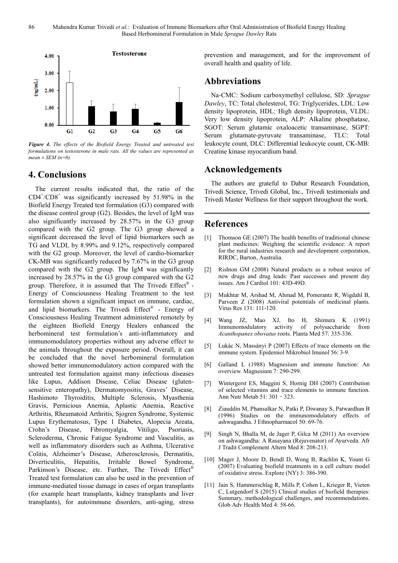

*Figure 4. The effects of the Biofield Energy Treated and untreated test formulations on testosterone in male rats. All the values are represented as*   $mean \pm SEM (n=6)$ 

# **4. Conclusions**

The current results indicated that, the ratio of the CD4<sup>+</sup> /CD8<sup>+</sup> was significantly increased by 51.98% in the Biofield Energy Treated test formulation (G3) compared with the disease control group (G2). Besides, the level of IgM was also significantly increased by 28.57% in the G3 group compared with the G2 group. The G3 group showed a significant decreased the level of lipid biomarkers such as TG and VLDL by 8.99% and 9.12%, respectively compared with the G2 group. Moreover, the level of cardio-biomarker CK-MB was significantly reduced by 7.67% in the G3 group compared with the G2 group. The IgM was significantly increased by 28.57% in the G3 group compared with the G2 group. Therefore, it is assumed that The Trivedi Effect® -Energy of Consciousness Healing Treatment to the test formulation shown a significant impact on immune, cardiac, and lipid biomarkers. The Trivedi Effect® - Energy of Consciousness Healing Treatment administered remotely by the eighteen Biofield Energy Healers enhanced the herbomineral test formulation's anti-inflammatory and immunomodulatory properties without any adverse effect to the animals throughout the exposure period. Overall, it can be concluded that the novel herbomineral formulation showed better immunomodulatory action compared with the untreated test formulation against many infectious diseases like Lupus, Addison Disease, Celiac Disease (glutensensitive enteropathy), Dermatomyositis, Graves' Disease, Hashimoto Thyroiditis, Multiple Sclerosis, Myasthenia Gravis, Pernicious Anemia, Aplastic Anemia, Reactive Arthritis, Rheumatoid Arthritis, Sjogren Syndrome, Systemic Lupus Erythematosus, Type 1 Diabetes, Alopecia Areata, Crohn's Disease, Fibromyalgia, Vitiligo, Psoriasis, Scleroderma, Chronic Fatigue Syndrome and Vasculitis, as well as inflammatory disorders such as Asthma, Ulcerative Colitis, Alzheimer's Disease, Atherosclerosis, Dermatitis, Diverticulitis, Hepatitis, Irritable Bowel Syndrome, Parkinson's Disease, etc. Further, The Trivedi Effect<sup>®</sup> Treated test formulation can also be used in the prevention of immune-mediated tissue damage in cases of organ transplants (for example heart transplants, kidney transplants and liver transplants), for autoimmune disorders, anti-aging, stress

prevention and management, and for the improvement of overall health and quality of life.

# **Abbreviations**

Na-CMC: Sodium carboxymethyl cellulose, SD: *Sprague Dawley*, TC: Total cholesterol, TG: Triglycerides, LDL: Low density lipoprotein, HDL: High density lipoprotein, VLDL: Very low density lipoprotein, ALP: Alkaline phosphatase, SGOT: Serum glutamic oxaloacetic transaminase, SGPT: Serum glutamate-pyruvate transaminase, TLC: Total leukocyte count, DLC: Differential leukocyte count, CK-MB: Creatine kinase myocardium band.

# **Acknowledgements**

The authors are grateful to Dabur Research Foundation, Trivedi Science, Trivedi Global, Inc., Trivedi testimonials and Trivedi Master Wellness for their support throughout the work.

# **References**

- [1] Thomson GE (2007) The health benefits of traditional chinese plant medicines: Weighing the scientific evidence: A report for the rural industries research and development corporation, RIRDC, Barton, Australia.
- [2] Rishton GM (2008) Natural products as a robust source of new drugs and drug leads: Past successes and present day issues. Am J Cardiol 101: 43D-49D.
- [3] Mukhtar M, Arshad M, Ahmad M, Pomerantz R, Wigdahl B, Parveen Z (2008) Antiviral potentials of medicinal plants. Virus Res 131: 111-120.
- [4] Wang JZ, Mao XJ, Ito H, Shimura K (1991) Immunomodulatory activity of polysaccharide from *Acanthopanex obovatus* roots. Planta Med 57: 335-336.
- [5] Lukác N, Massányi P (2007) Effects of trace elements on the immune system. Epidemiol Mikrobiol Imunol 56: 3-9.
- [6] Galland L (1988) Magnesium and immune function: An overview. Magnesium 7: 290-299.
- [7] Wintergerst ES, Maggini S, Hornig DH (2007) Contribution of selected vitamins and trace elements to immune function. Ann Nutr Metab 51: 301‐323.
- [8] Ziauddin M, Phansalkar N, Patki P, Diwanay S, Patwardhan B (1996) Studies on the immunomodulatory effects of ashwagandha. J Ethnopharmacol 50: 69-76.
- [9] Singh N, Bhalla M, de Jager P, Gilca M (2011) An overview on ashwagandha: A Rasayana (Rejuvenator) of Ayurveda. Afr J Tradit Complement Altern Med 8: 208-213.
- [10] Mager J, Moore D, Bendl D, Wong B, Rachlin K, Yount G (2007) Evaluating biofield treatments in a cell culture model of oxidative stress. Explore (NY) 3: 386-390.
- [11] Jain S, Hammerschlag R, Mills P, Cohen L, Krieger R, Vieten C, Lutgendorf S (2015) Clinical studies of biofield therapies: Summary, methodological challenges, and recommendations. Glob Adv Health Med 4: 58-66.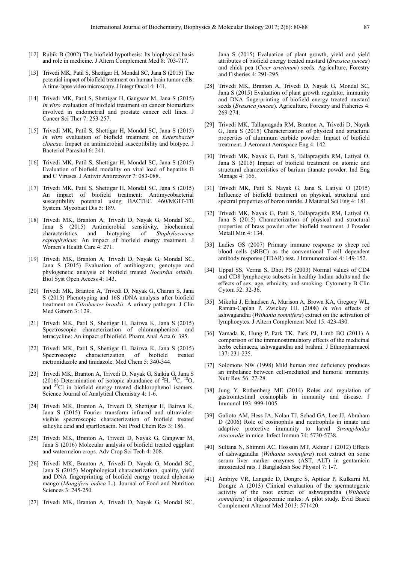- [12] Rubik B (2002) The biofield hypothesis: Its biophysical basis and role in medicine. J Altern Complement Med 8: 703-717.
- [13] Trivedi MK, Patil S, Shettigar H, Mondal SC, Jana S (2015) The potential impact of biofield treatment on human brain tumor cells: A time-lapse video microscopy. J Integr Oncol 4: 141.
- [14] Trivedi MK, Patil S, Shettigar H, Gangwar M, Jana S (2015) *In vitro* evaluation of biofield treatment on cancer biomarkers involved in endometrial and prostate cancer cell lines. J Cancer Sci Ther 7: 253-257.
- [15] Trivedi MK, Patil S, Shettigar H, Mondal SC, Jana S (2015) *In vitro* evaluation of biofield treatment on *Enterobacter cloacae*: Impact on antimicrobial susceptibility and biotype. J Bacteriol Parasitol 6: 241.
- [16] Trivedi MK, Patil S, Shettigar H, Mondal SC, Jana S (2015) Evaluation of biofield modality on viral load of hepatitis B and C Viruses. J Antivir Antiretrovir 7: 083-088.
- [17] Trivedi MK, Patil S, Shettigar H, Mondal SC, Jana S (2015) An impact of biofield treatment: Antimycobacterial susceptibility potential using BACTEC 460/MGIT-TB System. Mycobact Dis 5: 189.
- [18] Trivedi MK, Branton A, Trivedi D, Nayak G, Mondal SC, Jana S (2015) Antimicrobial sensitivity, biochemical characteristics and biotyping of *Staphylococcus saprophyticus*: An impact of biofield energy treatment. J Women's Health Care 4: 271.
- [19] Trivedi MK, Branton A, Trivedi D, Nayak G, Mondal SC, Jana S (2015) Evaluation of antibiogram, genotype and phylogenetic analysis of biofield treated *Nocardia otitidis*. Biol Syst Open Access 4: 143.
- [20] Trivedi MK, Branton A, Trivedi D, Nayak G, Charan S, Jana S (2015) Phenotyping and 16S rDNA analysis after biofield treatment on *Citrobacter braakii*: A urinary pathogen. J Clin Med Genom 3: 129.
- [21] Trivedi MK, Patil S, Shettigar H, Bairwa K, Jana S (2015) Spectroscopic characterization of chloramphenicol and tetracycline: An impact of biofield. Pharm Anal Acta 6: 395.
- [22] Trivedi MK, Patil S, Shettigar H, Bairwa K, Jana S (2015) Spectroscopic characterization of biofield treated metronidazole and tinidazole. Med Chem 5: 340-344.
- [23] Trivedi MK, Branton A, Trivedi D, Nayak G, Saikia G, Jana S (2016) Determination of isotopic abundance of  ${}^{2}H, {}^{13}C, {}^{18}O,$ and <sup>37</sup>Cl in biofield energy treated dichlorophenol isomers. Science Journal of Analytical Chemistry 4: 1-6.
- [24] Trivedi MK, Branton A, Trivedi D, Shettigar H, Bairwa K, Jana S (2015) Fourier transform infrared and ultravioletvisible spectroscopic characterization of biofield treated salicylic acid and sparfloxacin. Nat Prod Chem Res 3: 186.
- [25] Trivedi MK, Branton A, Trivedi D, Nayak G, Gangwar M, Jana S (2016) Molecular analysis of biofield treated eggplant and watermelon crops. Adv Crop Sci Tech 4: 208.
- [26] Trivedi MK, Branton A, Trivedi D, Nayak G, Mondal SC, Jana S (2015) Morphological characterization, quality, yield and DNA fingerprinting of biofield energy treated alphonso mango (*Mangifera indica* L.). Journal of Food and Nutrition Sciences 3: 245-250.
- [27] Trivedi MK, Branton A, Trivedi D, Nayak G, Mondal SC,

Jana S (2015) Evaluation of plant growth, yield and yield attributes of biofield energy treated mustard (*Brassica juncea*) and chick pea (*Cicer arietinum*) seeds. Agriculture, Forestry and Fisheries 4: 291-295.

- [28] Trivedi MK, Branton A, Trivedi D, Nayak G, Mondal SC, Jana S (2015) Evaluation of plant growth regulator, immunity and DNA fingerprinting of biofield energy treated mustard seeds (*Brassica juncea*). Agriculture, Forestry and Fisheries 4: 269-274.
- [29] Trivedi MK, Tallapragada RM, Branton A, Trivedi D, Nayak G, Jana S (2015) Characterization of physical and structural properties of aluminum carbide powder: Impact of biofield treatment. J Aeronaut Aerospace Eng 4: 142.
- [30] Trivedi MK, Nayak G, Patil S, Tallapragada RM, Latiyal O, Jana S (2015) Impact of biofield treatment on atomic and structural characteristics of barium titanate powder. Ind Eng Manage 4: 166.
- [31] Trivedi MK, Patil S, Nayak G, Jana S, Latiyal O (2015) Influence of biofield treatment on physical, structural and spectral properties of boron nitride. J Material Sci Eng 4: 181.
- [32] Trivedi MK, Nayak G, Patil S, Tallapragada RM, Latiyal O, Jana S (2015) Characterization of physical and structural properties of brass powder after biofield treatment. J Powder Metall Min 4: 134.
- [33] Ladics GS (2007) Primary immune response to sheep red blood cells (sRBC) as the conventional T-cell dependent antibody response (TDAR) test. J Immunotoxicol 4: 149-152.
- [34] Uppal SS, Verma S, Dhot PS (2003) Normal values of CD4 and CD8 lymphocyte subsets in healthy Indian adults and the effects of sex, age, ethnicity, and smoking. Cytometry B Clin Cytom 52: 32-36.
- [35] Mikolai J, Erlandsen A, Murison A, Brown KA, Gregory WL, Raman-Caplan P, Zwickey HL (2008) *In vivo* effects of ashwagandha (*Withania somnifera*) extract on the activation of lymphocytes. J Altern Complement Med 15: 423-430.
- [36] Yamada K, Hung P, Park TK, Park PJ, Limb BO (2011) A comparison of the immunostimulatory effects of the medicinal herbs echinacea, ashwagandha and brahmi. J Ethnopharmacol 137: 231-235.
- [37] Solomons NW (1998) Mild human zinc deficiency produces an imbalance between cell-mediated and humoral immunity. Nutr Rev 56: 27-28.
- [38] Jung Y, Rothenberg ME (2014) Roles and regulation of gastrointestinal eosinophils in immunity and disease. J Immunol 193: 999-1005.
- [39] Galioto AM, Hess JA, Nolan TJ, Schad GA, Lee JJ, Abraham D (2006) Role of eosinophils and neutrophils in innate and adaptive protective immunity to larval *Strongyloides stercoralis* in mice. Infect Immun 74: 5730-5738.
- [40] Sultana N, Shimmi AC, Hossain MT, Akhtar J (2012) Effects of ashwagandha (*Withania somnifera*) root extract on some serum liver marker enzymes (AST, ALT) in gentamicin intoxicated rats. J Bangladesh Soc Physiol 7: 1-7.
- [41] Ambiye VR, Langade D, Dongre S, Aptikar P, Kulkarni M, Dongre A (2013) Clinical evaluation of the spermatogenic activity of the root extract of ashwagandha (*Withania somnifera*) in oligospermic males: A pilot study. Evid Based Complement Alternat Med 2013: 571420.